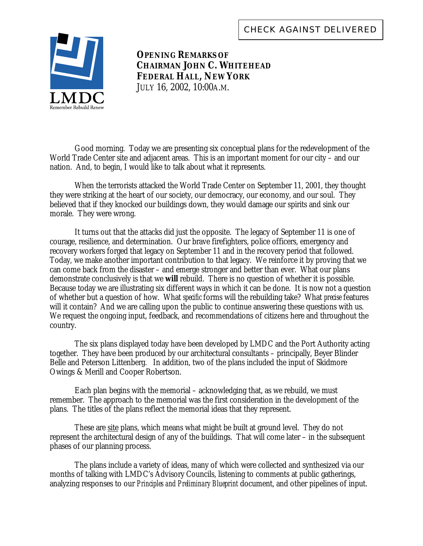

**OPENING REMARKS OF CHAIRMAN JOHN C. WHITEHEAD FEDERAL HALL, NEW YORK** JULY 16, 2002, 10:00A.M.

Good morning. Today we are presenting six conceptual plans for the redevelopment of the World Trade Center site and adjacent areas. This is an important moment for our city – and our nation. And, to begin, I would like to talk about what it represents.

When the terrorists attacked the World Trade Center on September 11, 2001, they thought they were striking at the heart of our society, our democracy, our economy, and our soul. They believed that if they knocked our buildings down, they would damage our spirits and sink our morale. They were wrong.

It turns out that the attacks did just the opposite. The legacy of September 11 is one of courage, resilience, and determination. Our brave firefighters, police officers, emergency and recovery workers forged that legacy on September 11 and in the recovery period that followed. Today, we make another important contribution to that legacy. We reinforce it by proving that we can come back from the disaster – and emerge stronger and better than ever. What our plans demonstrate conclusively is that we *will* rebuild. There is no question of whether it is possible. Because today we are illustrating six different ways in which it can be done. It is now not a question of whether but a question of how. What *specific* forms will the rebuilding take? What *precise* features will it contain? And we are calling upon the public to continue answering these questions with us. We request the ongoing input, feedback, and recommendations of citizens here and throughout the country.

The six plans displayed today have been developed by LMDC and the Port Authority acting together. They have been produced by our architectural consultants – principally, Beyer Blinder Belle and Peterson Littenberg. In addition, two of the plans included the input of Skidmore Owings & Merill and Cooper Robertson.

Each plan begins with the memorial – acknowledging that, as we rebuild, we must remember. The approach to the memorial was the first consideration in the development of the plans. The titles of the plans reflect the memorial ideas that they represent.

These are site plans, which means what might be built at ground level. They do not represent the architectural design of any of the buildings. That will come later – in the subsequent phases of our planning process.

The plans include a variety of ideas, many of which were collected and synthesized via our months of talking with LMDC's Advisory Councils, listening to comments at public gatherings, analyzing responses to our *Principles and Preliminary Blueprint* document, and other pipelines of input.